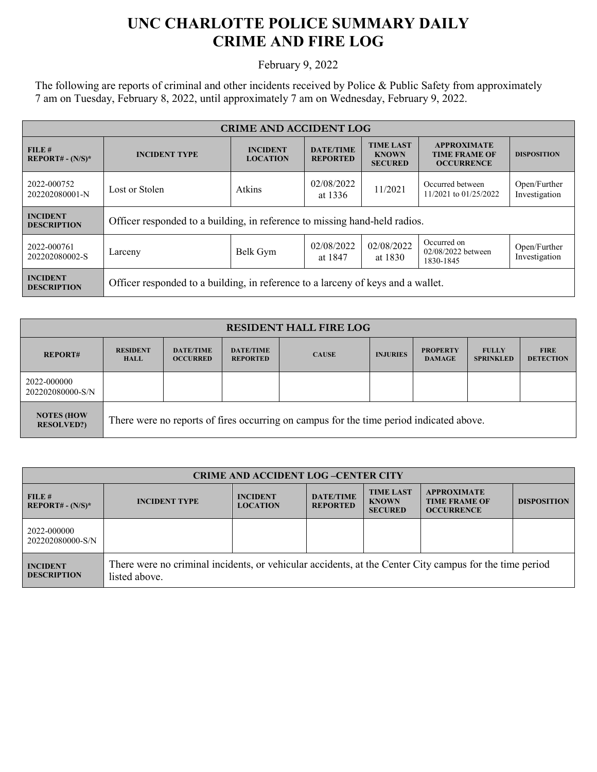## **UNC CHARLOTTE POLICE SUMMARY DAILY CRIME AND FIRE LOG**

February 9, 2022

The following are reports of criminal and other incidents received by Police & Public Safety from approximately 7 am on Tuesday, February 8, 2022, until approximately 7 am on Wednesday, February 9, 2022.

| <b>CRIME AND ACCIDENT LOG</b>         |                                                                                  |                                    |                                     |                                                    |                                                                 |                               |  |
|---------------------------------------|----------------------------------------------------------------------------------|------------------------------------|-------------------------------------|----------------------------------------------------|-----------------------------------------------------------------|-------------------------------|--|
| FILE#<br>$REPORT# - (N/S)*$           | <b>INCIDENT TYPE</b>                                                             | <b>INCIDENT</b><br><b>LOCATION</b> | <b>DATE/TIME</b><br><b>REPORTED</b> | <b>TIME LAST</b><br><b>KNOWN</b><br><b>SECURED</b> | <b>APPROXIMATE</b><br><b>TIME FRAME OF</b><br><b>OCCURRENCE</b> | <b>DISPOSITION</b>            |  |
| 2022-000752<br>202202080001-N         | Lost or Stolen                                                                   | Atkins                             | 02/08/2022<br>at 1336               | 11/2021                                            | Occurred between<br>11/2021 to 01/25/2022                       | Open/Further<br>Investigation |  |
| <b>INCIDENT</b><br><b>DESCRIPTION</b> | Officer responded to a building, in reference to missing hand-held radios.       |                                    |                                     |                                                    |                                                                 |                               |  |
| 2022-000761<br>202202080002-S         | Larceny                                                                          | Belk Gym                           | 02/08/2022<br>at 1847               | 02/08/2022<br>at 1830                              | Occurred on<br>02/08/2022 between<br>1830-1845                  | Open/Further<br>Investigation |  |
| <b>INCIDENT</b><br><b>DESCRIPTION</b> | Officer responded to a building, in reference to a larceny of keys and a wallet. |                                    |                                     |                                                    |                                                                 |                               |  |

| <b>RESIDENT HALL FIRE LOG</b>           |                                                                                         |                                     |                                     |              |                 |                                  |                                  |                                 |
|-----------------------------------------|-----------------------------------------------------------------------------------------|-------------------------------------|-------------------------------------|--------------|-----------------|----------------------------------|----------------------------------|---------------------------------|
| <b>REPORT#</b>                          | <b>RESIDENT</b><br><b>HALL</b>                                                          | <b>DATE/TIME</b><br><b>OCCURRED</b> | <b>DATE/TIME</b><br><b>REPORTED</b> | <b>CAUSE</b> | <b>INJURIES</b> | <b>PROPERTY</b><br><b>DAMAGE</b> | <b>FULLY</b><br><b>SPRINKLED</b> | <b>FIRE</b><br><b>DETECTION</b> |
| 2022-000000<br>202202080000-S/N         |                                                                                         |                                     |                                     |              |                 |                                  |                                  |                                 |
| <b>NOTES (HOW)</b><br><b>RESOLVED?)</b> | There were no reports of fires occurring on campus for the time period indicated above. |                                     |                                     |              |                 |                                  |                                  |                                 |

| <b>CRIME AND ACCIDENT LOG-CENTER CITY</b> |                                                                                                                          |                                    |                                     |                                                    |                                                                 |                    |  |
|-------------------------------------------|--------------------------------------------------------------------------------------------------------------------------|------------------------------------|-------------------------------------|----------------------------------------------------|-----------------------------------------------------------------|--------------------|--|
| FILE#<br>$REPORT# - (N/S)*$               | <b>INCIDENT TYPE</b>                                                                                                     | <b>INCIDENT</b><br><b>LOCATION</b> | <b>DATE/TIME</b><br><b>REPORTED</b> | <b>TIME LAST</b><br><b>KNOWN</b><br><b>SECURED</b> | <b>APPROXIMATE</b><br><b>TIME FRAME OF</b><br><b>OCCURRENCE</b> | <b>DISPOSITION</b> |  |
| 2022-000000<br>202202080000-S/N           |                                                                                                                          |                                    |                                     |                                                    |                                                                 |                    |  |
| <b>INCIDENT</b><br><b>DESCRIPTION</b>     | There were no criminal incidents, or vehicular accidents, at the Center City campus for the time period<br>listed above. |                                    |                                     |                                                    |                                                                 |                    |  |